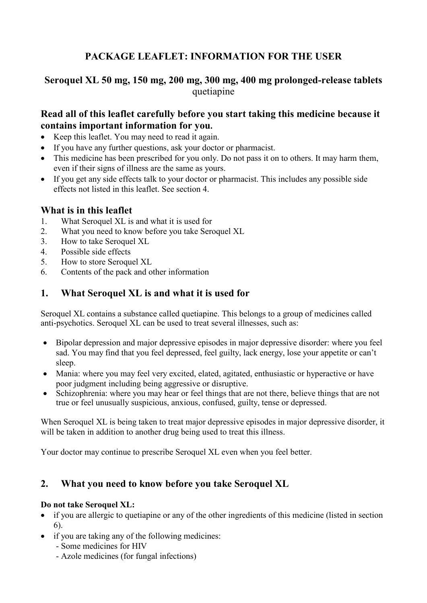# **PACKAGE LEAFLET: INFORMATION FOR THE USER**

# **Seroquel XL 50 mg, 150 mg, 200 mg, 300 mg, 400 mg prolonged-release tablets** quetiapine

# **Read all of this leaflet carefully before you start taking this medicine because it contains important information for you.**

- Keep this leaflet. You may need to read it again.
- If you have any further questions, ask your doctor or pharmacist.
- This medicine has been prescribed for you only. Do not pass it on to others. It may harm them, even if their signs of illness are the same as yours.
- If you get any side effects talk to your doctor or pharmacist. This includes any possible side effects not listed in this leaflet. See section 4.

# **What is in this leaflet**

- 1. What Seroquel XL is and what it is used for
- 2. What you need to know before you take Seroquel XL
- 3. How to take Seroquel XL
- 4. Possible side effects
- 5. How to store Seroquel XL
- 6. Contents of the pack and other information

# **1. What Seroquel XL is and what it is used for**

Seroquel XL contains a substance called quetiapine. This belongs to a group of medicines called anti-psychotics. Seroquel XL can be used to treat several illnesses, such as:

- Bipolar depression and major depressive episodes in major depressive disorder: where you feel sad. You may find that you feel depressed, feel guilty, lack energy, lose your appetite or can't sleep.
- Mania: where you may feel very excited, elated, agitated, enthusiastic or hyperactive or have poor judgment including being aggressive or disruptive.
- Schizophrenia: where you may hear or feel things that are not there, believe things that are not true or feel unusually suspicious, anxious, confused, guilty, tense or depressed.

When Seroquel XL is being taken to treat major depressive episodes in major depressive disorder, it will be taken in addition to another drug being used to treat this illness.

Your doctor may continue to prescribe Seroquel XL even when you feel better.

# **2. What you need to know before you take Seroquel XL**

### **Do not take Seroquel XL:**

- if you are allergic to quetiapine or any of the other ingredients of this medicine (listed in section 6).
- if you are taking any of the following medicines:
	- Some medicines for HIV
	- Azole medicines (for fungal infections)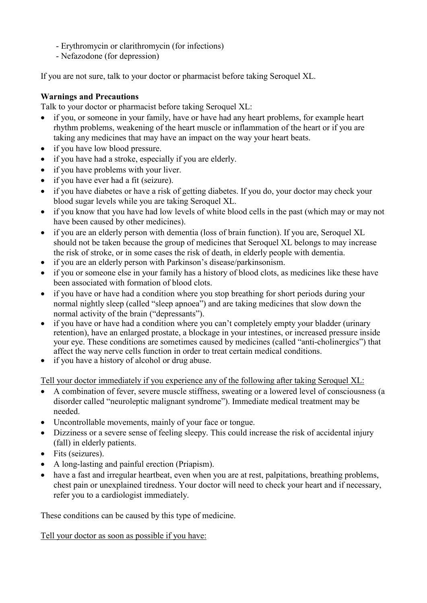- Erythromycin or clarithromycin (for infections)
- Nefazodone (for depression)

If you are not sure, talk to your doctor or pharmacist before taking Seroquel XL.

### **Warnings and Precautions**

Talk to your doctor or pharmacist before taking Seroquel XL:

- if you, or someone in your family, have or have had any heart problems, for example heart rhythm problems, weakening of the heart muscle or inflammation of the heart or if you are taking any medicines that may have an impact on the way your heart beats.
- if you have low blood pressure.
- if you have had a stroke, especially if you are elderly.
- if you have problems with your liver.
- if you have ever had a fit (seizure).
- if you have diabetes or have a risk of getting diabetes. If you do, your doctor may check your blood sugar levels while you are taking Seroquel XL.
- if you know that you have had low levels of white blood cells in the past (which may or may not have been caused by other medicines).
- if you are an elderly person with dementia (loss of brain function). If you are, Seroquel XL should not be taken because the group of medicines that Seroquel XL belongs to may increase the risk of stroke, or in some cases the risk of death, in elderly people with dementia.
- if you are an elderly person with Parkinson's disease/parkinsonism.
- if you or someone else in your family has a history of blood clots, as medicines like these have been associated with formation of blood clots.
- if you have or have had a condition where you stop breathing for short periods during your normal nightly sleep (called "sleep apnoea") and are taking medicines that slow down the normal activity of the brain ("depressants").
- if you have or have had a condition where you can't completely empty your bladder (urinary retention), have an enlarged prostate, a blockage in your intestines, or increased pressure inside your eye. These conditions are sometimes caused by medicines (called "anti-cholinergics") that affect the way nerve cells function in order to treat certain medical conditions.
- if you have a history of alcohol or drug abuse.

Tell your doctor immediately if you experience any of the following after taking Seroquel XL:

- A combination of fever, severe muscle stiffness, sweating or a lowered level of consciousness (a disorder called "neuroleptic malignant syndrome"). Immediate medical treatment may be needed.
- Uncontrollable movements, mainly of your face or tongue.
- Dizziness or a severe sense of feeling sleepy. This could increase the risk of accidental injury (fall) in elderly patients.
- Fits (seizures).
- A long-lasting and painful erection (Priapism).
- have a fast and irregular heartbeat, even when you are at rest, palpitations, breathing problems, chest pain or unexplained tiredness. Your doctor will need to check your heart and if necessary, refer you to a cardiologist immediately.

These conditions can be caused by this type of medicine.

Tell your doctor as soon as possible if you have: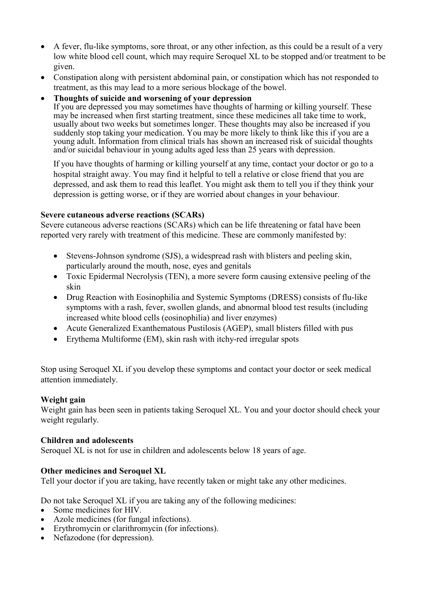- A fever, flu-like symptoms, sore throat, or any other infection, as this could be a result of a very low white blood cell count, which may require Seroquel XL to be stopped and/or treatment to be given.
- Constipation along with persistent abdominal pain, or constipation which has not responded to treatment, as this may lead to a more serious blockage of the bowel.
- **Thoughts of suicide and worsening of your depression**

If you are depressed you may sometimes have thoughts of harming or killing yourself. These may be increased when first starting treatment, since these medicines all take time to work, usually about two weeks but sometimes longer. These thoughts may also be increased if you suddenly stop taking your medication. You may be more likely to think like this if you are a young adult. Information from clinical trials has shown an increased risk of suicidal thoughts and/or suicidal behaviour in young adults aged less than 25 years with depression.

If you have thoughts of harming or killing yourself at any time, contact your doctor or go to a hospital straight away. You may find it helpful to tell a relative or close friend that you are depressed, and ask them to read this leaflet. You might ask them to tell you if they think your depression is getting worse, or if they are worried about changes in your behaviour.

#### **Severe cutaneous adverse reactions (SCARs)**

Severe cutaneous adverse reactions (SCARs) which can be life threatening or fatal have been reported very rarely with treatment of this medicine. These are commonly manifested by:

- Stevens-Johnson syndrome (SJS), a widespread rash with blisters and peeling skin, particularly around the mouth, nose, eyes and genitals
- Toxic Epidermal Necrolysis (TEN), a more severe form causing extensive peeling of the skin
- Drug Reaction with Eosinophilia and Systemic Symptoms (DRESS) consists of flu-like symptoms with a rash, fever, swollen glands, and abnormal blood test results (including increased white blood cells (eosinophilia) and liver enzymes)
- Acute Generalized Exanthematous Pustilosis (AGEP), small blisters filled with pus
- Erythema Multiforme (EM), skin rash with itchy-red irregular spots

Stop using Seroquel XL if you develop these symptoms and contact your doctor or seek medical attention immediately.

### **Weight gain**

Weight gain has been seen in patients taking Seroquel XL. You and your doctor should check your weight regularly.

#### **Children and adolescents**

Seroquel XL is not for use in children and adolescents below 18 years of age.

### **Other medicines and Seroquel XL**

Tell your doctor if you are taking, have recently taken or might take any other medicines.

Do not take Seroquel XL if you are taking any of the following medicines:

- Some medicines for HIV.
- Azole medicines (for fungal infections).
- Erythromycin or clarithromycin (for infections).
- Nefazodone (for depression).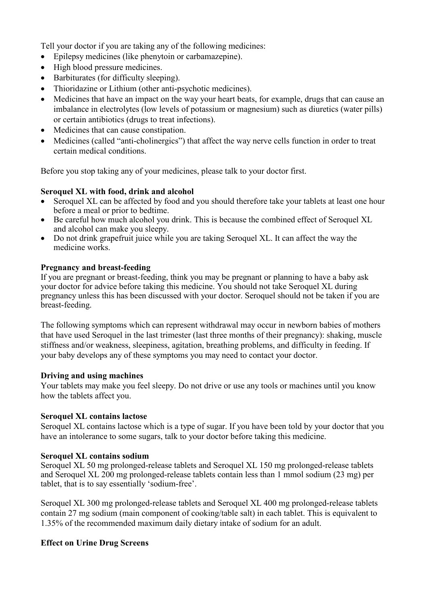Tell your doctor if you are taking any of the following medicines:

- Epilepsy medicines (like phenytoin or carbamazepine).
- High blood pressure medicines.
- Barbiturates (for difficulty sleeping).
- Thioridazine or Lithium (other anti-psychotic medicines).
- Medicines that have an impact on the way your heart beats, for example, drugs that can cause an imbalance in electrolytes (low levels of potassium or magnesium) such as diuretics (water pills) or certain antibiotics (drugs to treat infections).
- Medicines that can cause constipation.
- Medicines (called "anti-cholinergics") that affect the way nerve cells function in order to treat certain medical conditions.

Before you stop taking any of your medicines, please talk to your doctor first.

#### **Seroquel XL with food, drink and alcohol**

- Seroquel XL can be affected by food and you should therefore take your tablets at least one hour before a meal or prior to bedtime.
- Be careful how much alcohol you drink. This is because the combined effect of Seroquel XL and alcohol can make you sleepy.
- Do not drink grapefruit juice while you are taking Seroquel XL. It can affect the way the medicine works.

#### **Pregnancy and breast-feeding**

If you are pregnant or breast-feeding, think you may be pregnant or planning to have a baby ask your doctor for advice before taking this medicine. You should not take Seroquel XL during pregnancy unless this has been discussed with your doctor. Seroquel should not be taken if you are breast-feeding.

The following symptoms which can represent withdrawal may occur in newborn babies of mothers that have used Seroquel in the last trimester (last three months of their pregnancy): shaking, muscle stiffness and/or weakness, sleepiness, agitation, breathing problems, and difficulty in feeding. If your baby develops any of these symptoms you may need to contact your doctor.

#### **Driving and using machines**

Your tablets may make you feel sleepy. Do not drive or use any tools or machines until you know how the tablets affect you.

#### **Seroquel XL contains lactose**

Seroquel XL contains lactose which is a type of sugar. If you have been told by your doctor that you have an intolerance to some sugars, talk to your doctor before taking this medicine.

### **Seroquel XL contains sodium**

Seroquel XL 50 mg prolonged-release tablets and Seroquel XL 150 mg prolonged-release tablets and Seroquel XL 200 mg prolonged-release tablets contain less than 1 mmol sodium (23 mg) per tablet, that is to say essentially 'sodium-free'.

Seroquel XL 300 mg prolonged-release tablets and Seroquel XL 400 mg prolonged-release tablets contain 27 mg sodium (main component of cooking/table salt) in each tablet. This is equivalent to 1.35% of the recommended maximum daily dietary intake of sodium for an adult.

### **Effect on Urine Drug Screens**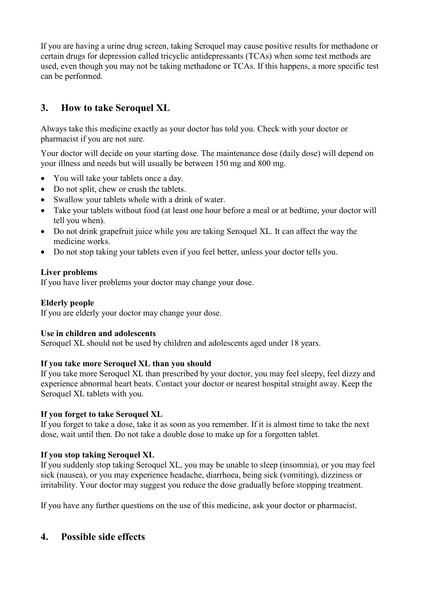If you are having a urine drug screen, taking Seroquel may cause positive results for methadone or certain drugs for depression called tricyclic antidepressants (TCAs) when some test methods are used, even though you may not be taking methadone or TCAs. If this happens, a more specific test can be performed.

# **3. How to take Seroquel XL**

Always take this medicine exactly as your doctor has told you. Check with your doctor or pharmacist if you are not sure.

Your doctor will decide on your starting dose. The maintenance dose (daily dose) will depend on your illness and needs but will usually be between 150 mg and 800 mg.

- You will take your tablets once a day.
- Do not split, chew or crush the tablets.
- Swallow your tablets whole with a drink of water.
- Take your tablets without food (at least one hour before a meal or at bedtime, your doctor will tell you when).
- Do not drink grapefruit juice while you are taking Seroquel XL. It can affect the way the medicine works.
- Do not stop taking your tablets even if you feel better, unless your doctor tells you.

### **Liver problems**

If you have liver problems your doctor may change your dose.

### **Elderly people**

If you are elderly your doctor may change your dose.

### **Use in children and adolescents**

Seroquel XL should not be used by children and adolescents aged under 18 years.

### **If you take more Seroquel XL than you should**

If you take more Seroquel XL than prescribed by your doctor, you may feel sleepy, feel dizzy and experience abnormal heart beats. Contact your doctor or nearest hospital straight away. Keep the Seroquel XL tablets with you.

### **If you forget to take Seroquel XL**

If you forget to take a dose, take it as soon as you remember. If it is almost time to take the next dose, wait until then. Do not take a double dose to make up for a forgotten tablet.

### **If you stop taking Seroquel XL**

If you suddenly stop taking Seroquel XL, you may be unable to sleep (insomnia), or you may feel sick (nausea), or you may experience headache, diarrhoea, being sick (vomiting), dizziness or irritability. Your doctor may suggest you reduce the dose gradually before stopping treatment.

If you have any further questions on the use of this medicine, ask your doctor or pharmacist.

## **4. Possible side effects**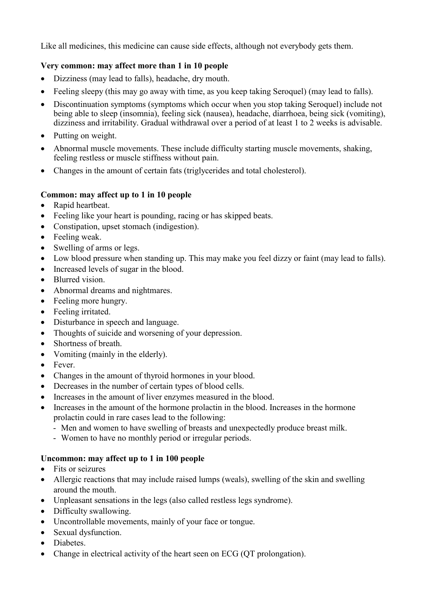Like all medicines, this medicine can cause side effects, although not everybody gets them.

## **Very common: may affect more than 1 in 10 people**

- Dizziness (may lead to falls), headache, dry mouth.
- Feeling sleepy (this may go away with time, as you keep taking Seroquel) (may lead to falls).
- Discontinuation symptoms (symptoms which occur when you stop taking Seroquel) include not being able to sleep (insomnia), feeling sick (nausea), headache, diarrhoea, being sick (vomiting), dizziness and irritability. Gradual withdrawal over a period of at least 1 to 2 weeks is advisable.
- Putting on weight.
- Abnormal muscle movements. These include difficulty starting muscle movements, shaking, feeling restless or muscle stiffness without pain.
- Changes in the amount of certain fats (triglycerides and total cholesterol).

### **Common: may affect up to 1 in 10 people**

- Rapid heartbeat.
- Feeling like your heart is pounding, racing or has skipped beats.
- Constipation, upset stomach (indigestion).
- Feeling weak.
- Swelling of arms or legs.
- Low blood pressure when standing up. This may make you feel dizzy or faint (may lead to falls).
- Increased levels of sugar in the blood.
- Blurred vision.
- Abnormal dreams and nightmares.
- Feeling more hungry.
- Feeling irritated.
- Disturbance in speech and language.
- Thoughts of suicide and worsening of your depression.
- Shortness of breath.
- Vomiting (mainly in the elderly).
- Fever.
- Changes in the amount of thyroid hormones in your blood.
- Decreases in the number of certain types of blood cells.
- Increases in the amount of liver enzymes measured in the blood.
- Increases in the amount of the hormone prolactin in the blood. Increases in the hormone prolactin could in rare cases lead to the following:
	- Men and women to have swelling of breasts and unexpectedly produce breast milk.
	- Women to have no monthly period or irregular periods.

## **Uncommon: may affect up to 1 in 100 people**

- Fits or seizures
- Allergic reactions that may include raised lumps (weals), swelling of the skin and swelling around the mouth.
- Unpleasant sensations in the legs (also called restless legs syndrome).
- Difficulty swallowing.
- Uncontrollable movements, mainly of your face or tongue.
- Sexual dysfunction.
- Diabetes.
- Change in electrical activity of the heart seen on ECG (OT prolongation).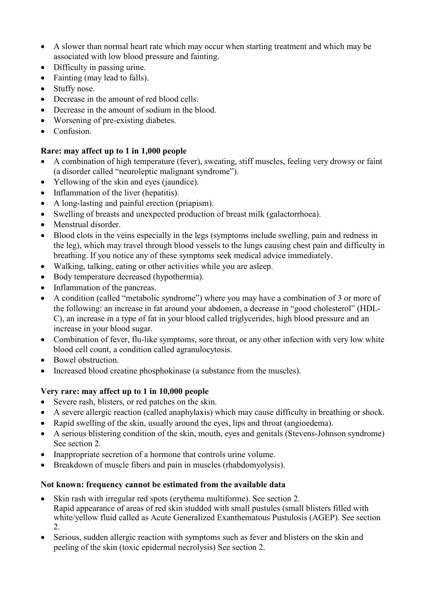- A slower than normal heart rate which may occur when starting treatment and which may be associated with low blood pressure and fainting.
- Difficulty in passing urine.
- Fainting (may lead to falls).
- Stuffy nose.
- Decrease in the amount of red blood cells.
- Decrease in the amount of sodium in the blood.
- Worsening of pre-existing diabetes.
- Confusion.

## **Rare: may affect up to 1 in 1,000 people**

- A combination of high temperature (fever), sweating, stiff muscles, feeling very drowsy or faint (a disorder called "neuroleptic malignant syndrome").
- Yellowing of the skin and eyes (jaundice).
- Inflammation of the liver (hepatitis).
- A long-lasting and painful erection (priapism).
- Swelling of breasts and unexpected production of breast milk (galactorrhoea).
- Menstrual disorder.
- Blood clots in the veins especially in the legs (symptoms include swelling, pain and redness in the leg), which may travel through blood vessels to the lungs causing chest pain and difficulty in breathing. If you notice any of these symptoms seek medical advice immediately.
- Walking, talking, eating or other activities while you are asleep.
- Body temperature decreased (hypothermia).
- Inflammation of the pancreas.
- A condition (called "metabolic syndrome") where you may have a combination of 3 or more of the following: an increase in fat around your abdomen, a decrease in "good cholesterol" (HDL-C), an increase in a type of fat in your blood called triglycerides, high blood pressure and an increase in your blood sugar.
- Combination of fever, flu-like symptoms, sore throat, or any other infection with very low white blood cell count, a condition called agranulocytosis.
- Bowel obstruction.
- Increased blood creatine phosphokinase (a substance from the muscles).

## **Very rare: may affect up to 1 in 10,000 people**

- Severe rash, blisters, or red patches on the skin.
- A severe allergic reaction (called anaphylaxis) which may cause difficulty in breathing or shock.
- Rapid swelling of the skin, usually around the eyes, lips and throat (angioedema).
- A serious blistering condition of the skin, mouth, eyes and genitals (Stevens-Johnson syndrome) See section 2.
- Inappropriate secretion of a hormone that controls urine volume.
- Breakdown of muscle fibers and pain in muscles (rhabdomyolysis).

## **Not known: frequency cannot be estimated from the available data**

- Skin rash with irregular red spots (erythema multiforme). See section 2. Rapid appearance of areas of red skin studded with small pustules (small blisters filled with white/yellow fluid called as Acute Generalized Exanthematous Pustulosis (AGEP). See section 2.
- Serious, sudden allergic reaction with symptoms such as fever and blisters on the skin and peeling of the skin (toxic epidermal necrolysis) See section 2.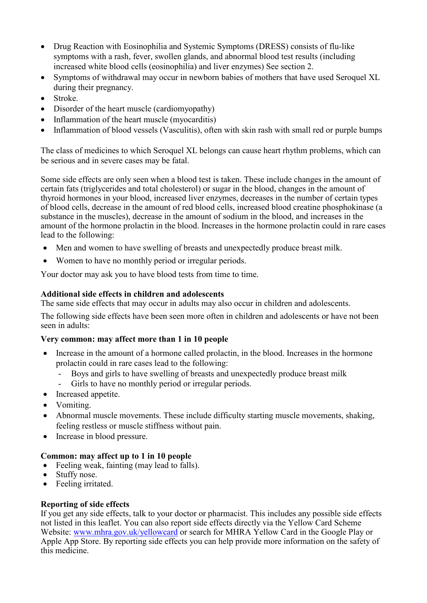- Drug Reaction with Eosinophilia and Systemic Symptoms (DRESS) consists of flu-like symptoms with a rash, fever, swollen glands, and abnormal blood test results (including increased white blood cells (eosinophilia) and liver enzymes) See section 2.
- Symptoms of withdrawal may occur in newborn babies of mothers that have used Seroquel XL during their pregnancy.
- Stroke.
- Disorder of the heart muscle (cardiomyopathy)
- Inflammation of the heart muscle (myocarditis)
- Inflammation of blood vessels (Vasculitis), often with skin rash with small red or purple bumps

The class of medicines to which Seroquel XL belongs can cause heart rhythm problems, which can be serious and in severe cases may be fatal.

Some side effects are only seen when a blood test is taken. These include changes in the amount of certain fats (triglycerides and total cholesterol) or sugar in the blood, changes in the amount of thyroid hormones in your blood, increased liver enzymes, decreases in the number of certain types of blood cells, decrease in the amount of red blood cells, increased blood creatine phosphokinase (a substance in the muscles), decrease in the amount of sodium in the blood, and increases in the amount of the hormone prolactin in the blood. Increases in the hormone prolactin could in rare cases lead to the following:

- Men and women to have swelling of breasts and unexpectedly produce breast milk.
- Women to have no monthly period or irregular periods.

Your doctor may ask you to have blood tests from time to time.

#### **Additional side effects in children and adolescents**

The same side effects that may occur in adults may also occur in children and adolescents.

The following side effects have been seen more often in children and adolescents or have not been seen in adults:

### **Very common: may affect more than 1 in 10 people**

- Increase in the amount of a hormone called prolactin, in the blood. Increases in the hormone prolactin could in rare cases lead to the following:
	- Boys and girls to have swelling of breasts and unexpectedly produce breast milk
	- Girls to have no monthly period or irregular periods.
- Increased appetite.
- Vomiting.
- Abnormal muscle movements. These include difficulty starting muscle movements, shaking, feeling restless or muscle stiffness without pain.
- Increase in blood pressure.

### **Common: may affect up to 1 in 10 people**

- Feeling weak, fainting (may lead to falls).
- Stuffy nose.
- Feeling irritated.

#### **Reporting of side effects**

If you get any side effects, talk to your doctor or pharmacist. This includes any possible side effects not listed in this leaflet. You can also report side effects directly via the Yellow Card Scheme Website: [www.mhra.gov.uk/yellowcard](http://www.mhra.gov.uk/yellowcard) or search for MHRA Yellow Card in the Google Play or Apple App Store. By reporting side effects you can help provide more information on the safety of this medicine.